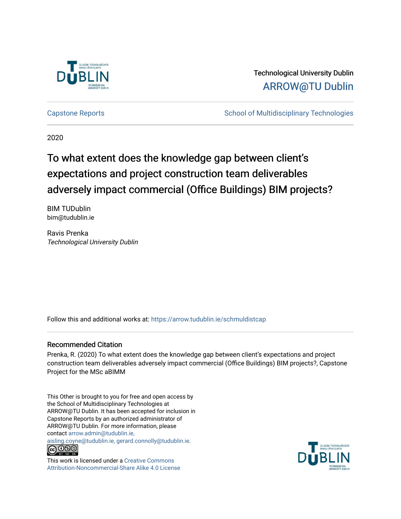

## Technological University Dublin [ARROW@TU Dublin](https://arrow.tudublin.ie/)

[Capstone Reports](https://arrow.tudublin.ie/schmuldistcap) **School of Multidisciplinary Technologies** School of Multidisciplinary Technologies

2020

# To what extent does the knowledge gap between client's expectations and project construction team deliverables adversely impact commercial (Office Buildings) BIM projects?

BIM TUDublin bim@tudublin.ie

Ravis Prenka Technological University Dublin

Follow this and additional works at: [https://arrow.tudublin.ie/schmuldistcap](https://arrow.tudublin.ie/schmuldistcap?utm_source=arrow.tudublin.ie%2Fschmuldistcap%2F20&utm_medium=PDF&utm_campaign=PDFCoverPages)

## Recommended Citation

Prenka, R. (2020) To what extent does the knowledge gap between client's expectations and project construction team deliverables adversely impact commercial (Office Buildings) BIM projects?, Capstone Project for the MSc aBIMM

This Other is brought to you for free and open access by the School of Multidisciplinary Technologies at ARROW@TU Dublin. It has been accepted for inclusion in Capstone Reports by an authorized administrator of ARROW@TU Dublin. For more information, please contact [arrow.admin@tudublin.ie,](mailto:arrow.admin@tudublin.ie,%20aisling.coyne@tudublin.ie,%20gerard.connolly@tudublin.ie) 

[aisling.coyne@tudublin.ie, gerard.connolly@tudublin.ie](mailto:arrow.admin@tudublin.ie,%20aisling.coyne@tudublin.ie,%20gerard.connolly@tudublin.ie).



This work is licensed under a [Creative Commons](http://creativecommons.org/licenses/by-nc-sa/4.0/) [Attribution-Noncommercial-Share Alike 4.0 License](http://creativecommons.org/licenses/by-nc-sa/4.0/)

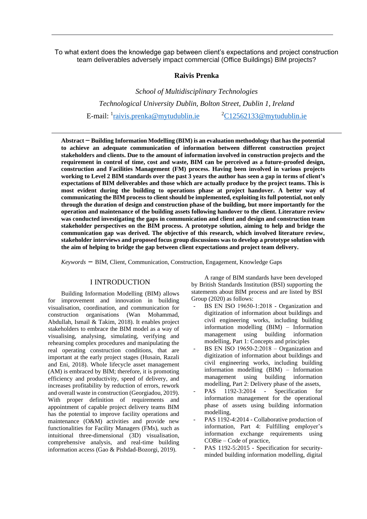To what extent does the knowledge gap between client's expectations and project construction team deliverables adversely impact commercial (Office Buildings) BIM projects?

### **Raivis Prenka**

*School of Multidisciplinary Technologies Technological University Dublin, Bolton Street, Dublin 1, Ireland* E-mail: <sup>[1](mailto:1raivis.prenka@mytudublin.ie)</sup>[raivis.prenka@mytudublin.ie](mailto:1raivis.prenka@mytudublin.ie) <sup>[2](mailto:2C12562133@mytudublin.ie)</sup>[C12562133@mytudublin.ie](mailto:2C12562133@mytudublin.ie)

**Abstract ̶ Building Information Modelling (BIM) is an evaluation methodology that has the potential to achieve an adequate communication of information between different construction project stakeholders and clients. Due to the amount of information involved in construction projects and the requirement in control of time, cost and waste, BIM can be perceived as a future-proofed design, construction and Facilities Management (FM) process. Having been involved in various projects working to Level 2 BIM standards over the past 3 years the author has seen a gap in terms of client's expectations of BIM deliverables and those which are actually produce by the project teams. This is most evident during the building to operations phase at project handover. A better way of communicating the BIM process to client should be implemented, exploiting its full potential, not only through the duration of design and construction phase of the building, but more importantly for the operation and maintenance of the building assets following handover to the client. Literature review was conducted investigating the gaps in communication and client and design and construction team stakeholder perspectives on the BIM process. A prototype solution, aiming to help and bridge the communication gap was derived. The objective of this research, which involved literature review, stakeholder interviews and proposed focus group discussions was to develop a prototype solution with the aim of helping to bridge the gap between client expectations and project team delivery.**

*Keywords* **̶** BIM, Client, Communication, Construction, Engagement, Knowledge Gaps

## I INTRODUCTION

Building Information Modelling (BIM) allows for improvement and innovation in building visualisation, coordination, and communication for construction organisations (Wan Mohammad, Abdullah, Ismail & Takim, 2018). It enables project stakeholders to embrace the BIM model as a way of visualising, analysing, simulating, verifying and rehearsing complex procedures and manipulating the real operating construction conditions, that are important at the early project stages (Husain, Razali and Eni, 2018). Whole lifecycle asset management (AM) is embraced by BIM; therefore, it is promoting efficiency and productivity, speed of delivery, and increases profitability by reduction of errors, rework and overall waste in construction (Georgiadou, 2019). With proper definition of requirements and appointment of capable project delivery teams BIM has the potential to improve facility operations and maintenance (O&M) activities and provide new functionalities for Facility Managers (FMs), such as intuitional three-dimensional (3D) visualisation, comprehensive analysis, and real-time building information access (Gao & Pishdad-Bozorgi, 2019).

A range of BIM standards have been developed by British Standards Institution (BSI) supporting the statements about BIM process and are listed by BSI Group (2020) as follows:

- BS EN ISO 19650-1:2018 Organization and digitization of information about buildings and civil engineering works, including building information modelling (BIM) – Information management using building information modelling, Part 1: Concepts and principles
- BS EN ISO  $19650-2:2018$  Organization and digitization of information about buildings and civil engineering works, including building information modelling (BIM) – Information management using building information modelling, Part 2: Delivery phase of the assets,
- PAS 1192-3:2014 Specification for information management for the operational phase of assets using building information modelling,
- PAS 1192-4:2014 Collaborative production of information, Part 4: Fulfilling employer's information exchange requirements using COBie – Code of practice,
- PAS 1192-5:2015 Specification for securityminded building information modelling, digital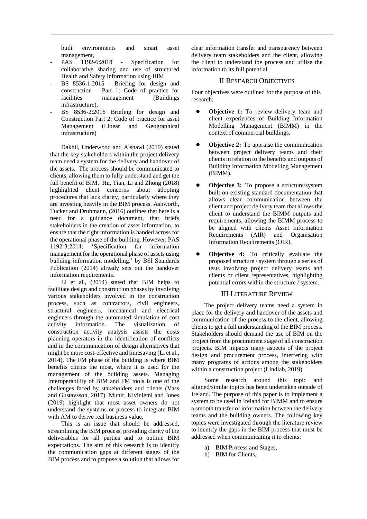built environments and smart asset management,

- PAS 1192-6:2018 Specification for collaborative sharing and use of structured Health and Safety information using BIM
- BS 8536-1:2015 Briefing for design and construction – Part 1: Code of practice for facilities management (Buildings infrastructure),
- BS 8536-2:2016 Briefing for design and Construction Part 2: Code of practice for asset Management (Linear and Geographical infrastructure)

Dakhil, Underwood and Alshawi (2019) stated that the key stakeholders within the project delivery team need a system for the delivery and handover of the assets. The process should be communicated to clients, allowing them to fully understand and get the full benefit of BIM. Hu, Tian, Li and Zhong (2018) highlighted client concerns about adopting procedures that lack clarity, particularly where they are investing heavily in the BIM process. Ashworth, Tucker and Druhmann, (2016) outlines that here is a need for a guidance document, that briefs stakeholders in the creation of asset information, to ensure that the right information is handed across for the operational phase of the building. However, PAS 1192-3:2014: 'Specification for information management for the operational phase of assets using building information modelling.' by BSI Standards Publication (2014) already sets out the handover information requirements.

Li et al., (2014) stated that BIM helps to facilitate design and construction phases by involving various stakeholders involved in the construction process, such as contractors, civil engineers, structural engineers, mechanical and electrical engineers through the automated simulation of cost activity information. The visualization of construction activity analysis assists the costs planning operators in the identification of conflicts and in the communication of design alternatives that might be more cost-effective and timesaving (Li et al., 2014). The FM phase of the building is where BIM benefits clients the most, where it is used for the management of the building assets. Managing Interoperability of BIM and FM tools is one of the challenges faced by stakeholders and clients (Vass and Gustavsson, 2017). Munir, Kiviniemi and Jones (2019) highlight that most asset owners do not understand the systems or process to integrate BIM with AM to derive real business value.

This is an issue that should be addressed, streamlining the BIM process, providing clarity of the deliverables for all parties and to outline BIM expectations. The aim of this research is to identify the communication gaps at different stages of the BIM process and to propose a solution that allows for

clear information transfer and transparency between delivery team stakeholders and the client, allowing the client to understand the process and utilise the information to its full potential.

#### II RESEARCH OBJECTIVES

Four objectives were outlined for the purpose of this research:

- **Objective 1:** To review delivery team and client experiences of Building Information Modelling Management (BIMM) in the context of commercial buildings.
- **Objective 2:** To appraise the communication between project delivery teams and their clients in relation to the benefits and outputs of Building Information Modelling Management (BIMM).
- **Objective 3:** To propose a structure/system built on existing standard documentation that allows clear communication between the client and project delivery team that allows the client to understand the BIMM outputs and requirements, allowing the BIMM process to be aligned with clients Asset Information Requirements (AIR) and Organisation Information Requirements (OIR).
- **Objective 4:** To critically evaluate the proposed structure / system through a series of tests involving project delivery teams and clients or client representatives, highlighting potential errors within the structure / system.

#### III LITERATURE REVIEW

The project delivery teams need a system in place for the delivery and handover of the assets and communication of the process to the client, allowing clients to get a full understanding of the BIM process. Stakeholders should demand the use of BIM on the project from the procurement stage of all construction projects. BIM impacts many aspects of the project design and procurement process, interfering with many programs of actions among the stakeholders within a construction project (Lindlab, 2019)

Some research around this topic and aligned/similar topics has been undertaken outside of Ireland. The purpose of this paper is to implement a system to be used in Ireland for BIMM and to ensure a smooth transfer of information between the delivery teams and the building owners. The following key topics were investigated through the literature review to identify the gaps in the BIM process that must be addressed when communicating it to clients:

- a) BIM Process and Stages,
- b) BIM for Clients,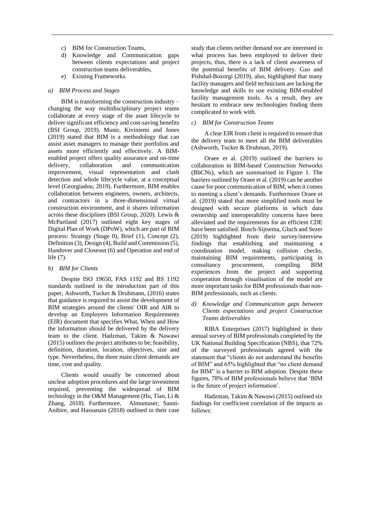- c) BIM for Construction Teams,
- d) Knowledge and Communication gaps between clients expectations and project construction teams deliverables,
- e) Existing Frameworks.

#### *a) BIM Process and Stages*

BIM is transforming the construction industry – changing the way multidisciplinary project teams collaborate at every stage of the asset lifecycle to deliver significant efficiency and cost-saving benefits (BSI Group, 2019). Munir, Kiviniemi and Jones (2019) stated that BIM is a methodology that can assist asset managers to manage their portfolios and assets more efficiently and effectively. A BIMenabled project offers quality assurance and on-time delivery, collaboration and communication improvement, visual representation and clash detection and whole lifecycle value, at a conceptual level (Georgiadou, 2019). Furthermore, BIM enables collaboration between engineers, owners, architects, and contractors in a three-dimensional virtual construction environment, and it shares information across these disciplines (BSI Group, 2020). Lewis & McPartland (2017) outlined eight key stages of Digital Plan of Work (DPoW), which are part of BIM process: Strategy (Stage 0), Brief (1), Concept (2), Definition (3), Design (4), Build and Commission (5), Handover and Closeout (6) and Operation and end of life (7).

#### *b) BIM for Clients*

Despite ISO 19650, PAS 1192 and BS 1192 standards outlined in the introduction part of this paper, Ashworth, Tucker & Druhmann, (2016) states that guidance is required to assist the development of BIM strategies around the clients' OIR and AIR to develop an Employers Information Requirements (EIR) document that specifies What, When and How the information should be delivered by the delivery team to the client. Hadzman, Takim & Nawawi (2015) outlines the project attributes to be; feasibility, definition, duration, location, objectives, size and type. Nevertheless, the three main client demands are time, cost and quality.

Clients would usually be concerned about unclear adoption procedures and the large investment required, preventing the widespread of BIM technology in the O&M Management (Hu, Tian, Li & Zhang, 2018). Furthermore, Almuntaser, Sanni-Anibire, and Hassanain (2018) outlined in their case

study that clients neither demand nor are interested in what process has been employed to deliver their projects, thus, there is a lack of client awareness of the potential benefits of BIM delivery. Gao and Pishdad-Bozorgi (2019), also, highlighted that many facility managers and field technicians are lacking the knowledge and skills to use existing BIM-enabled facility management tools. As a result, they are hesitant to embrace new technologies finding them complicated to work with.

#### *c) BIM for Construction Teams*

A clear EIR from client is required to ensure that the delivery team to meet all the BIM deliverables (Ashworth, Tucker & Druhman, 2019).

Oraee et al. (2019) outlined the barriers to collaboration in BIM-based Construction Networks (BbCNs), which are summarised in Figure 1. The barriers outlined by Oraee et al. (2019) can be another cause for poor communication of BIM, when it comes to meeting a client's demands. Furthermore Oraee et al. (2019) stated that more simplified tools must be designed with secure platforms in which data ownership and interoperability concerns have been alleviated and the requirements for an efficient CDE have been satisfied. Bosch-Sijtsema, Gluch and Sezer (2019) highlighted from their survey/interview findings that establishing and maintaining a coordination model, making collision checks, maintaining BIM requirements, participating in consultancy procurement, compiling BIM experiences from the project and supporting cooperation through visualisation of the model are more important tasks for BIM professionals than non-BIM professionals, such as clients.

#### *d) Knowledge and Communication gaps between Clients expectations and project Construction Teams deliverables*

RIBA Enterprises (2017) highlighted in their annual survey of BIM professionals completed by the UK National Building Specification (NBS), that 72% of the surveyed professionals agreed with the statement that "clients do not understand the benefits of BIM" and 65% highlighted that "no client demand for BIM" is a barrier to BIM adoption. Despite these figures, 78% of BIM professionals believe that 'BIM is the future of project information'.

Hadzman, Takim & Nawawi (2015) outlined six findings for coefficient correlation of the impacts as follows: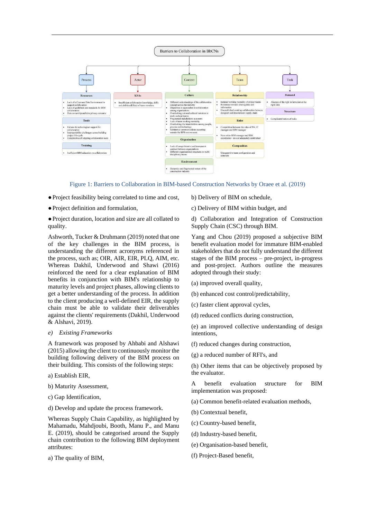

Figure 1: Barriers to Collaboration in BIM-based Construction Networks by Oraee et al. (2019)

- ●Project feasibility being correlated to time and cost,
- ●Project definition and formulation,

●Project duration, location and size are all collated to quality.

Ashworth, Tucker & Druhmann (2019) noted that one of the key challenges in the BIM process, is understanding the different acronyms referenced in the process, such as; OIR, AIR, EIR, PLQ, AIM, etc. Whereas Dakhil, Underwood and Shawi (2016) reinforced the need for a clear explanation of BIM benefits in conjunction with BIM's relationship to maturity levels and project phases, allowing clients to get a better understanding of the process. In addition to the client producing a well-defined EIR, the supply chain must be able to validate their deliverables against the clients' requirements (Dakhil, Underwood & Alshavi, 2019).

*e) Existing Frameworks*

A framework was proposed by Ahbabi and Alshawi (2015) allowing the client to continuously monitor the building following delivery of the BIM process on their building. This consists of the following steps:

- a) Establish EIR,
- b) Maturity Assessment,
- c) Gap Identification,
- d) Develop and update the process framework.

Whereas Supply Chain Capability, as highlighted by Mahamadu, Mahdjoubi, Booth, Manu P., and Manu E. (2019), should be categorised around the Supply chain contribution to the following BIM deployment attributes:

a) The quality of BIM,

b) Delivery of BIM on schedule,

c) Delivery of BIM within budget, and

d) Collaboration and Integration of Construction Supply Chain (CSC) through BIM.

Yang and Chou (2019) proposed a subjective BIM benefit evaluation model for immature BIM-enabled stakeholders that do not fully understand the different stages of the BIM process – pre-project, in-progress and post-project. Authors outline the measures adopted through their study:

- (a) improved overall quality,
- (b) enhanced cost control/predictability,
- (c) faster client approval cycles,
- (d) reduced conflicts during construction,

(e) an improved collective understanding of design intentions,

- (f) reduced changes during construction,
- (g) a reduced number of RFI's, and

(h) Other items that can be objectively proposed by the evaluator.

A benefit evaluation structure for BIM implementation was proposed:

- (a) Common benefit-related evaluation methods,
- (b) Contextual benefit,
- (c) Country-based benefit,
- (d) Industry-based benefit,
- (e) Organisation-based benefit,
- (f) Project-Based benefit,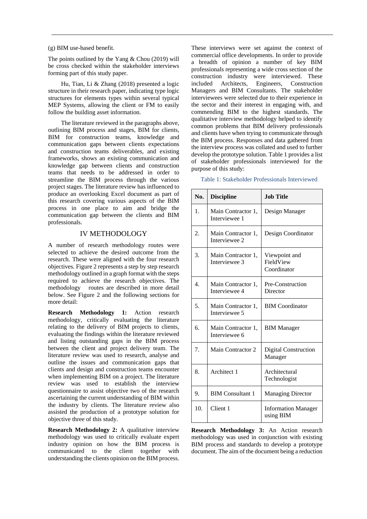(g) BIM use-based benefit.

The points outlined by the Yang  $& Chou (2019)$  will be cross checked within the stakeholder interviews forming part of this study paper.

Hu, Tian, Li & Zhang (2018) presented a logic structure in their research paper, indicating type logic structures for elements types within several typical MEP Systems, allowing the client or FM to easily follow the building asset information.

The literature reviewed in the paragraphs above, outlining BIM process and stages, BIM for clients, BIM for construction teams, knowledge and communication gaps between clients expectations and construction teams deliverables, and existing frameworks, shows an existing communication and knowledge gap between clients and construction teams that needs to be addressed in order to streamline the BIM process through the various project stages. The literature review has influenced to produce an overlooking Excel document as part of this research covering various aspects of the BIM process in one place to aim and bridge the communication gap between the clients and BIM professionals.

## IV METHODOLOGY

A number of research methodology routes were selected to achieve the desired outcome from the research. These were aligned with the four research objectives. Figure 2 represents a step by step research methodology outlined in a graph format with the steps required to achieve the research objectives. The methodology routes are described in more detail below. See Figure 2 and the following sections for more detail:

**Research Methodology 1:** Action research methodology, critically evaluating the literature relating to the delivery of BIM projects to clients, evaluating the findings within the literature reviewed and listing outstanding gaps in the BIM process between the client and project delivery team. The literature review was used to research, analyse and outline the issues and communication gaps that clients and design and construction teams encounter when implementing BIM on a project. The literature review was used to establish the interview questionnaire to assist objective two of the research ascertaining the current understanding of BIM within the industry by clients. The literature review also assisted the production of a prototype solution for objective three of this study.

**Research Methodology 2:** A qualitative interview methodology was used to critically evaluate expert industry opinion on how the BIM process is communicated to the client together with understanding the clients opinion on the BIM process. These interviews were set against the context of commercial office developments. In order to provide a breadth of opinion a number of key BIM professionals representing a wide cross section of the construction industry were interviewed. These included Architects, Engineers, Construction Managers and BIM Consultants. The stakeholder interviewees were selected due to their experience in the sector and their interest in engaging with, and commending BIM to the highest standards. The qualitative interview methodology helped to identify common problems that BIM delivery professionals and clients have when trying to communicate through the BIM process. Responses and data gathered from the interview process was collated and used to further develop the prototype solution. Table 1 provides a list of stakeholder professionals interviewed for the purpose of this study:

|  |  | Table 1: Stakeholder Professionals Interviewed |
|--|--|------------------------------------------------|
|--|--|------------------------------------------------|

| No.              | <b>Discipline</b>                   | <b>Job Title</b>                          |
|------------------|-------------------------------------|-------------------------------------------|
| 1.               | Main Contractor 1,<br>Interviewee 1 | Design Manager                            |
| 2.               | Main Contractor 1,<br>Interviewee 2 | Design Coordinator                        |
| 3.               | Main Contractor 1,<br>Interviewee 3 | Viewpoint and<br>FieldView<br>Coordinator |
| $\overline{4}$ . | Main Contractor 1,<br>Interviewee 4 | Pre-Construction<br>Director              |
| 5.               | Main Contractor 1,<br>Interviewee 5 | <b>BIM</b> Coordinator                    |
| 6.               | Main Contractor 1,<br>Interviewee 6 | <b>BIM</b> Manager                        |
| 7.               | Main Contractor 2                   | <b>Digital Construction</b><br>Manager    |
| 8.               | Architect 1                         | Architectural<br>Technologist             |
| 9.               | <b>BIM Consultant 1</b>             | <b>Managing Director</b>                  |
| 10.              | Client 1                            | <b>Information Manager</b><br>using BIM   |

**Research Methodology 3:** An Action research methodology was used in conjunction with existing BIM process and standards to develop a prototype document. The aim of the document being a reduction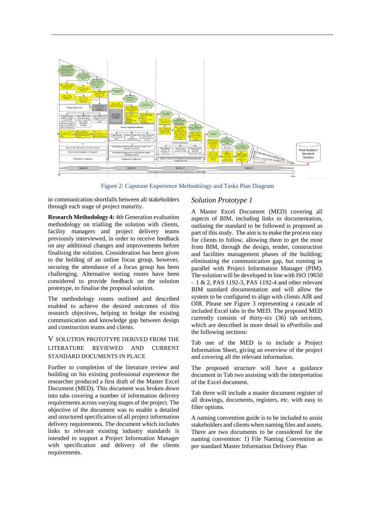

Figure 2: Capstone Experience Methodology and Tasks Plan Diagram

in communication shortfalls between all stakeholders through each stage of project maturity.

**Research Methodology 4:** 4th Generation evaluation methodology on trialling the solution with clients, facility managers and project delivery teams previously interviewed, in order to receive feedback on any additional changes and improvements before finalising the solution. Consideration has been given to the holding of an online focus group, however, securing the attendance of a focus group has been challenging. Alternative testing routes have been considered to provide feedback on the solution prototype, to finalise the proposal solution.

The methodology routes outlined and described enabled to achieve the desired outcomes of this research objectives, helping to bridge the existing communication and knowledge gap between design and construction teams and clients.

## V SOLUTION PROTOTYPE DERIVED FROM THE LITERATURE REVIEWED AND CURRENT STANDARD DOCUMENTS IN PLACE

Further to completion of the literature review and building on his existing professional experience the researcher produced a first draft of the Master Excel Document (MED). This document was broken down into tabs covering a number of information delivery requirements across varying stages of the project. The objective of the document was to enable a detailed and structured specification of all project information delivery requirements. The document which includes links to relevant existing industry standards is intended to support a Project Information Manager with specification and delivery of the clients requirements.

## *Solution Prototype 1*

A Master Excel Document (MED) covering all aspects of BIM, including links to documentation, outlining the standard to be followed is proposed as part of this study. The aim is to make the process easy for clients to follow, allowing them to get the most from BIM, through the design, tender, construction and facilities management phases of the building; eliminating the communication gap, but running in parallel with Project Information Manager (PIM). The solution will be developed in line with ISO 19650 – 1 & 2, PAS 1192-3, PAS 1192-4 and other relevant BIM standard documentation and will allow the system to be configured to align with clients AIR and OIR. Please see Figure 3 representing a cascade of included Excel tabs in the MED. The proposed MED currently consists of thirty-six (36) tab sections, which are described in more detail in ePortfolio and the following sections:

Tab one of the MED is to include a Project Information Sheet, giving an overview of the project and covering all the relevant information.

The proposed structure will have a guidance document in Tab two assisting with the interpretation of the Excel document.

Tab three will include a master document register of all drawings, documents, registers, etc. with easy to filter options.

A naming convention guide is to be included to assist stakeholders and clients when naming files and assets. There are two documents to be considered for the naming convention: 1) File Naming Convention as per standard Master Information Delivery Plan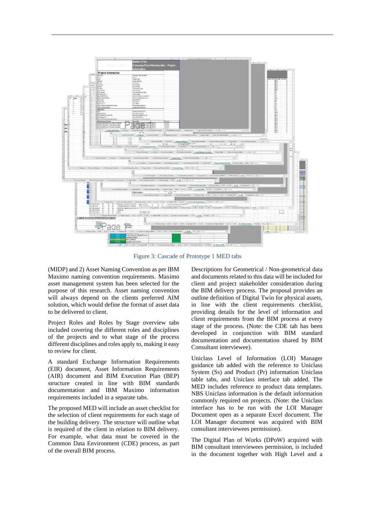

Figure 3: Cascade of Prototype 1 MED tabs

(MIDP) and 2) Asset Naming Convention as per IBM Maximo naming convention requirements. Maximo asset management system has been selected for the purpose of this research. Asset naming convention will always depend on the clients preferred AIM solution, which would define the format of asset data to be delivered to client.

Project Roles and Roles by Stage overview tabs included covering the different roles and disciplines of the projects and to what stage of the process different disciplines and roles apply to, making it easy to review for client.

A standard Exchange Information Requirements (EIR) document, Asset Information Requirements (AIR) document and BIM Execution Plan (BEP) structure created in line with BIM standards documentation and IBM Maximo information requirements included in a separate tabs.

The proposed MED will include an asset checklist for the selection of client requirements for each stage of the building delivery. The structure will outline what is required of the client in relation to BIM delivery. For example, what data must be covered in the Common Data Environment (CDE) process, as part of the overall BIM process.

Descriptions for Geometrical / Non-geometrical data and documents related to this data will be included for client and project stakeholder consideration during the BIM delivery process. The proposal provides an outline definition of Digital Twin for physical assets, in line with the client requirements checklist, providing details for the level of information and client requirements from the BIM process at every stage of the process. (Note: the CDE tab has been developed in conjunction with BIM standard documentation and documentation shared by BIM Consultant interviewee).

Uniclass Level of Information (LOI) Manager guidance tab added with the reference to Uniclass System (Ss) and Product (Pr) information Uniclass table tabs, and Uniclass interface tab added. The MED includes reference to product data templates. NBS Uniclass information is the default information commonly required on projects. (Note: the Uniclass interface has to be run with the LOI Manager Document open as a separate Excel document. The LOI Manager document was acquired with BIM consultant interviewees permission).

The Digital Plan of Works (DPoW) acquired with BIM consultant interviewees permission, is included in the document together with High Level and a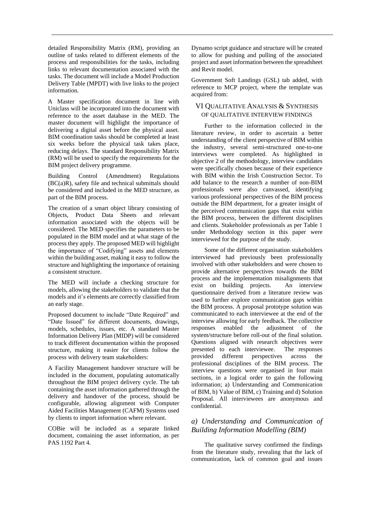detailed Responsibility Matrix (RM), providing an outline of tasks related to different elements of the process and responsibilities for the tasks, including links to relevant documentation associated with the tasks. The document will include a Model Production Delivery Table (MPDT) with live links to the project information.

A Master specification document in line with Uniclass will be incorporated into the document with reference to the asset database in the MED. The master document will highlight the importance of delivering a digital asset before the physical asset. BIM coordination tasks should be completed at least six weeks before the physical task takes place, reducing delays. The standard Responsibility Matrix (RM) will be used to specify the requirements for the BIM project delivery programme.

Building Control (Amendment) Regulations (BC(a)R), safety file and technical submittals should be considered and included in the MED structure, as part of the BIM process.

The creation of a smart object library consisting of Objects, Product Data Sheets and relevant information associated with the objects will be considered. The MED specifies the parameters to be populated in the BIM model and at what stage of the process they apply. The proposed MED will highlight the importance of "Codifying" assets and elements within the building asset, making it easy to follow the structure and highlighting the importance of retaining a consistent structure.

The MED will include a checking structure for models, allowing the stakeholders to validate that the models and it's elements are correctly classified from an early stage.

Proposed document to include "Date Required" and "Date Issued" for different documents, drawings, models, schedules, issues, etc. A standard Master Information Delivery Plan (MIDP) will be considered to track different documentation within the proposed structure, making it easier for clients follow the process with delivery team stakeholders:

A Facility Management handover structure will be included in the document, populating automatically throughout the BIM project delivery cycle. The tab containing the asset information gathered through the delivery and handover of the process, should be configurable, allowing alignment with Computer Aided Facilities Management (CAFM) Systems used by clients to import information where relevant.

COBie will be included as a separate linked document, containing the asset information, as per PAS 1192 Part 4.

Dynamo script guidance and structure will be created to allow for pushing and pulling of the associated project and asset information between the spreadsheet and Revit model.

Government Soft Landings (GSL) tab added, with reference to MCP project, where the template was acquired from:

## VI QUALITATIVE ANALYSIS & SYNTHESIS OF QUALITATIVE INTERVIEW FINDINGS

Further to the information collected in the literature review, in order to ascertain a better understanding of the client perspective of BIM within the industry, several semi-structured one-to-one interviews were completed. As highlighted in objective 2 of the methodology, interview candidates were specifically chosen because of their experience with BIM within the Irish Construction Sector. To add balance to the research a number of non-BIM professionals were also canvassed, identifying various professional perspectives of the BIM process outside the BIM department, for a greater insight of the perceived communication gaps that exist within the BIM process, between the different disciplines and clients. Stakeholder professionals as per Table 1 under Methodology section in this paper were interviewed for the purpose of the study.

Some of the different organisation stakeholders interviewed had previously been professionally involved with other stakeholders and were chosen to provide alternative perspectives towards the BIM process and the implementation misalignments that exist on building projects. An interview questionnaire derived from a literature review was used to further explore communication gaps within the BIM process. A proposal prototype solution was communicated to each interviewee at the end of the interview allowing for early feedback. The collective responses enabled the adjustment of the system/structure before roll-out of the final solution. Questions aligned with research objectives were presented to each interviewee. The responses provided different perspectives across the professional disciplines of the BIM process. The interview questions were organised in four main sections, in a logical order to gain the following information; a) Understanding and Communication of BIM, b) Value of BIM, c) Training and d) Solution Proposal. All interviewees are anonymous and confidential.

## *a) Understanding and Communication of Building Information Modelling (BIM)*

The qualitative survey confirmed the findings from the literature study, revealing that the lack of communication, lack of common goal and issues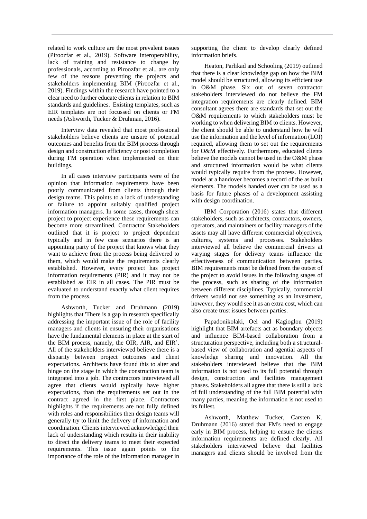related to work culture are the most prevalent issues (Piroozfar et al., 2019). Software interoperability, lack of training and resistance to change by professionals, according to Piroozfar et al., are only few of the reasons preventing the projects and stakeholders implementing BIM (Piroozfar et al., 2019). Findings within the research have pointed to a clear need to further educate clients in relation to BIM standards and guidelines. Existing templates, such as EIR templates are not focussed on clients or FM needs (Ashworth, Tucker & Druhman, 2016).

Interview data revealed that most professional stakeholders believe clients are unsure of potential outcomes and benefits from the BIM process through design and construction efficiency or post completion during FM operation when implemented on their buildings.

In all cases interview participants were of the opinion that information requirements have been poorly communicated from clients through their design teams. This points to a lack of understanding or failure to appoint suitably qualified project information managers. In some cases, through sheer project to project experience these requirements can become more streamlined. Contractor Stakeholders outlined that it is project to project dependent typically and in few case scenarios there is an appointing party of the project that knows what they want to achieve from the process being delivered to them, which would make the requirements clearly established. However, every project has project information requirements (PIR) and it may not be established as EIR in all cases. The PIR must be evaluated to understand exactly what client requires from the process.

Ashworth, Tucker and Druhmann (2019) highlights that 'There is a gap in research specifically addressing the important issue of the role of facility managers and clients in ensuring their organisations have the fundamental elements in place at the start of the BIM process, namely, the OIR, AIR, and EIR'. All of the stakeholders interviewed believe there is a disparity between project outcomes and client expectations. Architects have found this to alter and hinge on the stage in which the construction team is integrated into a job. The contractors interviewed all agree that clients would typically have higher expectations, than the requirements set out in the contract agreed in the first place. Contractors highlights if the requirements are not fully defined with roles and responsibilities then design teams will generally try to limit the delivery of information and coordination. Clients interviewed acknowledged their lack of understanding which results in their inability to direct the delivery teams to meet their expected requirements. This issue again points to the importance of the role of the information manager in supporting the client to develop clearly defined information briefs.

Heaton, Parlikad and Schooling (2019) outlined that there is a clear knowledge gap on how the BIM model should be structured, allowing its efficient use in O&M phase. Six out of seven contractor stakeholders interviewed do not believe the FM integration requirements are clearly defined. BIM consultant agrees there are standards that set out the O&M requirements to which stakeholders must be working to when delivering BIM to clients. However, the client should be able to understand how he will use the information and the level of information (LOI) required, allowing them to set out the requirements for O&M effectively. Furthermore, educated clients believe the models cannot be used in the O&M phase and structured information would be what clients would typically require from the process. However, model at a handover becomes a record of the as built elements. The models handed over can be used as a basis for future phases of a development assisting with design coordination.

IBM Corporation (2016) states that different stakeholders, such as architects, contractors, owners, operators, and maintainers or facility managers of the assets may all have different commercial objectives, cultures, systems and processes. Stakeholders interviewed all believe the commercial drivers at varying stages for delivery teams influence the effectiveness of communication between parties. BIM requirements must be defined from the outset of the project to avoid issues in the following stages of the process, such as sharing of the information between different disciplines. Typically, commercial drivers would not see something as an investment, however, they would see it as an extra cost, which can also create trust issues between parties.

Papadonikolaki, Oel and Kagioglou (2019) highlight that BIM artefacts act as boundary objects and influence BIM-based collaboration from a structuration perspective, including both a structuralbased view of collaboration and agential aspects of knowledge sharing and innovation. All the stakeholders interviewed believe that the BIM information is not used to its full potential through design, construction and facilities management phases. Stakeholders all agree that there is still a lack of full understanding of the full BIM potential with many parties, meaning the information is not used to its fullest.

Ashworth, Matthew Tucker, Carsten K. Druhmann (2016) stated that FM's need to engage early in BIM process, helping to ensure the clients information requirements are defined clearly. All stakeholders interviewed believe that facilities managers and clients should be involved from the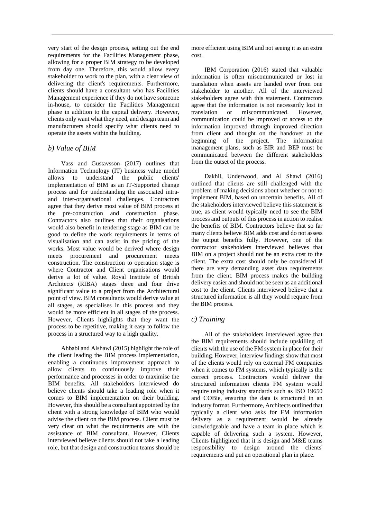very start of the design process, setting out the end requirements for the Facilities Management phase, allowing for a proper BIM strategy to be developed from day one. Therefore, this would allow every stakeholder to work to the plan, with a clear view of delivering the client's requirements. Furthermore, clients should have a consultant who has Facilities Management experience if they do not have someone in-house, to consider the Facilities Management phase in addition to the capital delivery. However, clients only want what they need, and design team and manufacturers should specify what clients need to operate the assets within the building.

## *b) Value of BIM*

Vass and Gustavsson (2017) outlines that Information Technology (IT) business value model allows to understand the public clients' implementation of BIM as an IT-Supported change process and for understanding the associated intraand inter-organisational challenges. Contractors agree that they derive most value of BIM process at the pre-construction and construction phase. Contractors also outlines that their organisations would also benefit in tendering stage as BIM can be good to define the work requirements in terms of visualisation and can assist in the pricing of the works. Most value would be derived where design meets procurement and procurement meets construction. The construction to operation stage is where Contractor and Client organisations would derive a lot of value. Royal Institute of British Architects (RIBA) stages three and four drive significant value to a project from the Architectural point of view. BIM consultants would derive value at all stages, as specialises in this process and they would be more efficient in all stages of the process. However, Clients highlights that they want the process to be repetitive, making it easy to follow the process in a structured way to a high quality.

Ahbabi and Alshawi (2015) highlight the role of the client leading the BIM process implementation, enabling a continuous improvement approach to allow clients to continuously improve their performance and processes in order to maximise the BIM benefits. All stakeholders interviewed do believe clients should take a leading role when it comes to BIM implementation on their building. However, this should be a consultant appointed by the client with a strong knowledge of BIM who would advise the client on the BIM process. Client must be very clear on what the requirements are with the assistance of BIM consultant. However, Clients interviewed believe clients should not take a leading role, but that design and construction teams should be

more efficient using BIM and not seeing it as an extra cost.

IBM Corporation (2016) stated that valuable information is often miscommunicated or lost in translation when assets are handed over from one stakeholder to another. All of the interviewed stakeholders agree with this statement. Contractors agree that the information is not necessarily lost in translation or miscommunicated. However, communication could be improved or access to the information improved through improved direction from client and thought on the handover at the beginning of the project. The information management plans, such as EIR and BEP must be communicated between the different stakeholders from the outset of the process.

Dakhil, Underwood, and Al Shawi (2016) outlined that clients are still challenged with the problem of making decisions about whether or not to implement BIM, based on uncertain benefits. All of the stakeholders interviewed believe this statement is true, as client would typically need to see the BIM process and outputs of this process in action to realise the benefits of BIM. Contractors believe that so far many clients believe BIM adds cost and do not assess the output benefits fully. However, one of the contractor stakeholders interviewed believes that BIM on a project should not be an extra cost to the client. The extra cost should only be considered if there are very demanding asset data requirements from the client. BIM process makes the building delivery easier and should not be seen as an additional cost to the client. Clients interviewed believe that a structured information is all they would require from the BIM process.

## *c) Training*

All of the stakeholders interviewed agree that the BIM requirements should include upskilling of clients with the use of the FM system in place for their building. However, interview findings show that most of the clients would rely on external FM companies when it comes to FM systems, which typically is the correct process. Contractors would deliver the structured information clients FM system would require using industry standards such as ISO 19650 and COBie, ensuring the data is structured in an industry format. Furthermore, Architects outlined that typically a client who asks for FM information delivery as a requirement would be already knowledgeable and have a team in place which is capable of delivering such a system. However, Clients highlighted that it is design and M&E teams responsibility to design around the clients' requirements and put an operational plan in place.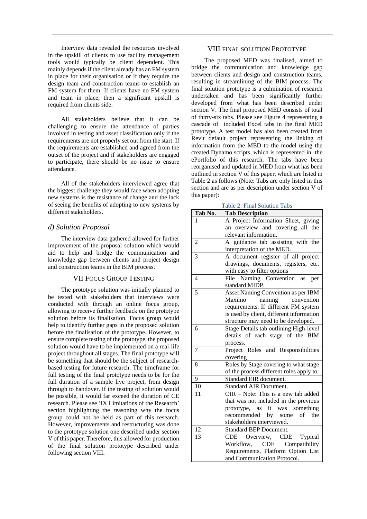Interview data revealed the resources involved in the upskill of clients to use facility management tools would typically be client dependent. This mainly depends if the client already has an FM system in place for their organisation or if they require the design team and construction teams to establish an FM system for them. If clients have no FM system and team in place, then a significant upskill is required from clients side.

All stakeholders believe that it can be challenging to ensure the attendance of parties involved in testing and asset classification only if the requirements are not properly set out from the start. If the requirements are established and agreed from the outset of the project and if stakeholders are engaged to participate, there should be no issue to ensure attendance.

All of the stakeholders interviewed agree that the biggest challenge they would face when adopting new systems is the resistance of change and the lack of seeing the benefits of adopting to new systems by different stakeholders.

## *d) Solution Proposal*

The interview data gathered allowed for further improvement of the proposal solution which would aid to help and bridge the communication and knowledge gap between clients and project design and construction teams in the BIM process.

#### VII FOCUS GROUP TESTING

The prototype solution was initially planned to be tested with stakeholders that interviews were conducted with through an online focus group, allowing to receive further feedback on the prototype solution before its finalisation. Focus group would help to identify further gaps in the proposed solution before the finalisation of the prototype. However, to ensure complete testing of the prototype, the proposed solution would have to be implemented on a real-life project throughout all stages. The final prototype will be something that should be the subject of researchbased testing for future research. The timeframe for full testing of the final prototype needs to be for the full duration of a sample live project, from design through to handover. If the testing of solution would be possible, it would far exceed the duration of CE research. Please see 'IX Limitations of the Research' section highlighting the reasoning why the focus group could not be held as part of this research. However, improvements and restructuring was done to the prototype solution one described under section V of this paper. Therefore, this allowed for production of the final solution prototype described under following section VIII.

#### VIII FINAL SOLUTION PROTOTYPE

The proposed MED was finalised, aimed to bridge the communication and knowledge gap between clients and design and construction teams, resulting in streamlining of the BIM process. The final solution prototype is a culmination of research undertaken and has been significantly further developed from what has been described under section V. The final proposed MED consists of total of thirty-six tabs. Please see Figure 4 representing a cascade of included Excel tabs in the final MED prototype. A test model has also been created from Revit default project representing the linking of information from the MED to the model using the created Dynamo scripts, which is represented in the ePortfolio of this research. The tabs have been reorganised and updated in MED from what has been outlined in section V of this paper, which are listed in Table 2 as follows (Note: Tabs are only listed in this section and are as per description under section V of this paper):

Table 2: Final Solution Tabs

| Tab No.        | <b>Tab Description</b>                   |
|----------------|------------------------------------------|
| 1              | A Project Information Sheet, giving      |
|                | an overview and covering all the         |
|                | relevant information.                    |
| $\overline{2}$ | A guidance tab assisting with the        |
|                | interpretation of the MED.               |
| 3              | A document register of all project       |
|                | drawings, documents, registers, etc.     |
|                | with easy to filter options              |
| $\overline{4}$ | File Naming Convention<br>as<br>per      |
|                | standard MIDP.                           |
| 5              | Asset Naming Convention as per IBM       |
|                | naming<br>Maximo<br>convention           |
|                | requirements. If different FM system     |
|                | is used by client, different information |
|                | structure may need to be developed.      |
| 6              | Stage Details tab outlining High-level   |
|                | details of each stage of the BIM         |
|                | process.                                 |
| $\overline{7}$ | Project Roles and Responsibilities       |
|                | covering                                 |
| 8              | Roles by Stage covering to what stage    |
|                | of the process different roles apply to. |
| 9              | Standard EIR document.                   |
| 10             | <b>Standard AIR Document.</b>            |
| 11             | $OIR - Note: This is a new tab added$    |
|                | that was not included in the previous    |
|                | it<br>was something<br>prototype, as     |
|                | recommended by<br>of the<br>some         |
|                | stakeholders interviewed.                |
| 12             | <b>Standard BEP Document.</b>            |
| 13             | Overview, CDE<br>Typical<br>CDE          |
|                | Workflow, CDE Compatibility              |
|                | Requirements, Platform Option List       |
|                | and Communication Protocol.              |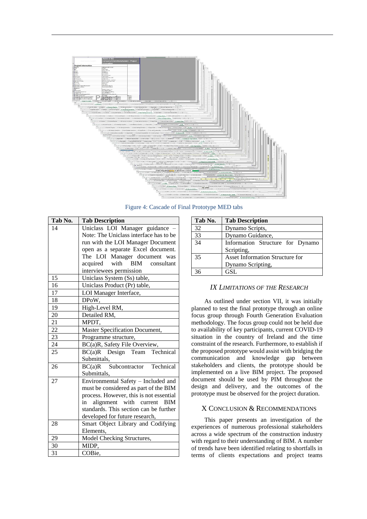

Figure 4: Cascade of Final Prototype MED tabs

| Tab No.         | <b>Tab Description</b>                     |
|-----------------|--------------------------------------------|
| 14              | Uniclass LOI Manager guidance              |
|                 | Note: The Uniclass interface has to be     |
|                 | run with the LOI Manager Document          |
|                 | open as a separate Excel document.         |
|                 | The LOI Manager document was               |
|                 | acquired with BIM consultant               |
|                 | interviewees permission                    |
| 15              | Uniclass System (Ss) table,                |
| 16              | Uniclass Product (Pr) table,               |
| 17              | LOI Manager Interface,                     |
| 18              | DPoW,                                      |
| 19              | High-Level RM,                             |
| 20              | Detailed RM,                               |
| 21              | MPDT,                                      |
| $\overline{22}$ | Master Specification Document,             |
| 23              | Programme structure,                       |
| 24              | BC(a)R, Safety File Overview,              |
| 25              | BC(a)R Design Team Technical               |
|                 | Submittals,                                |
| 26              | BC(a)R Subcontractor Technical             |
|                 | Submittals,                                |
| 27              | Environmental Safety - Included and        |
|                 | must be considered as part of the BIM      |
|                 | process. However, this is not essential    |
|                 | alignment with current<br><b>BIM</b><br>in |
|                 | standards. This section can be further     |
|                 | developed for future research,             |
| 28              | Smart Object Library and Codifying         |
|                 | Elements.                                  |
| 29              | Model Checking Structures,                 |
| 30              | MIDP,                                      |
| 31              | COBie.                                     |

| Tab No. | <b>Tab Description</b>           |
|---------|----------------------------------|
| 32      | Dynamo Scripts,                  |
| 33      | Dynamo Guidance,                 |
| 34      | Information Structure for Dynamo |
|         | Scripting,                       |
| 35      | Asset Information Structure for  |
|         | Dynamo Scripting,                |
|         | GSL.                             |

## *IX LIMITATIONS OF THE RESEARCH*

As outlined under section VII, it was initially planned to test the final prototype through an online focus group through Fourth Generation Evaluation methodology. The focus group could not be held due to availability of key participants, current COVID-19 situation in the country of Ireland and the time constraint of the research. Furthermore, to establish if the proposed prototype would assist with bridging the communication and knowledge gap between stakeholders and clients, the prototype should be implemented on a live BIM project. The proposed document should be used by PIM throughout the design and delivery, and the outcomes of the prototype must be observed for the project duration.

## X CONCLUSION & RECOMMENDATIONS

This paper presents an investigation of the experiences of numerous professional stakeholders across a wide spectrum of the construction industry with regard to their understanding of BIM. A number of trends have been identified relating to shortfalls in terms of clients expectations and project teams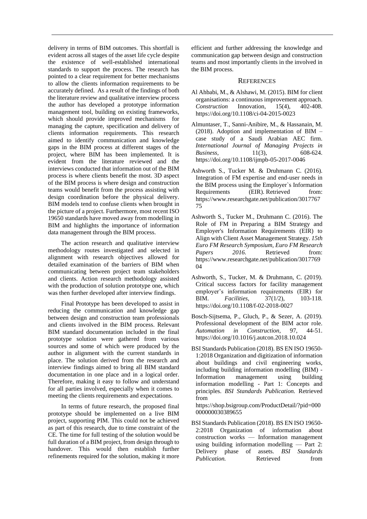delivery in terms of BIM outcomes. This shortfall is evident across all stages of the asset life cycle despite the existence of well-established international standards to support the process. The research has pointed to a clear requirement for better mechanisms to allow the clients information requirements to be accurately defined. As a result of the findings of both the literature review and qualitative interview process the author has developed a prototype information management tool, building on existing frameworks, which should provide improved mechanisms for managing the capture, specification and delivery of clients information requirements. This research aimed to identify communication and knowledge gaps in the BIM process at different stages of the project, where BIM has been implemented. It is evident from the literature reviewed and the interviews conducted that information out of the BIM process is where clients benefit the most. 3D aspect of the BIM process is where design and construction teams would benefit from the process assisting with design coordination before the physical delivery. BIM models tend to confuse clients when brought in the picture of a project. Furthermore, most recent ISO 19650 standards have moved away from modelling in BIM and highlights the importance of information data management through the BIM process.

The action research and qualitative interview methodology routes investigated and selected in alignment with research objectives allowed for detailed examination of the barriers of BIM when communicating between project team stakeholders and clients. Action research methodology assisted with the production of solution prototype one, which was then further developed after interview findings.

Final Prototype has been developed to assist in reducing the communication and knowledge gap between design and construction team professionals and clients involved in the BIM process. Relevant BIM standard documentation included in the final prototype solution were gathered from various sources and some of which were produced by the author in alignment with the current standards in place. The solution derived from the research and interview findings aimed to bring all BIM standard documentation in one place and in a logical order. Therefore, making it easy to follow and understand for all parties involved, especially when it comes to meeting the clients requirements and expectations.

In terms of future research, the proposed final prototype should be implemented on a live BIM project, supporting PIM. This could not be achieved as part of this research, due to time constraint of the CE. The time for full testing of the solution would be full duration of a BIM project, from design through to handover. This would then establish further refinements required for the solution, making it more

efficient and further addressing the knowledge and communication gap between design and construction teams and most importantly clients in the involved in the BIM process.

## **REFERENCES**

- Al Ahbabi, M., & Alshawi, M. (2015). BIM for client organisations: a continuous improvement approach. *Construction* Innovation, 15(4), 402-408. https://doi.org/10.1108/ci-04-2015-0023
- Almuntaser, T., Sanni-Anibire, M., & Hassanain, M. (2018). Adoption and implementation of BIM – case study of a Saudi Arabian AEC firm. *International Journal of Managing Projects in Business,* 11(3), 608-624. https://doi.org/10.1108/ijmpb-05-2017-0046
- Ashworth S., Tucker M. & Druhmann C. (2016). Integration of FM expertise and end-user needs in the BIM process using the Employer`s Information Requirements (EIR). Retrieved from: https://www.researchgate.net/publication/3017767 75
- Ashworth S., Tucker M., Druhmann C. (2016). The Role of FM in Preparing a BIM Strategy and Employer's Information Requirements (EIR) to Align with Client Asset Management Strategy. *15th Euro FM Research Symposium, Euro FM Research Papers* 2016. Retrieved from: https://www.researchgate.net/publication/3017769 04
- Ashworth, S., Tucker, M. & Druhmann, C. (2019). Critical success factors for facility management employer's information requirements (EIR) for BIM. *Facilities,* 37(1/2), 103-118. https://doi.org/10.1108/f-02-2018-0027
- Bosch-Sijtsema, P., Gluch, P., & Sezer, A. (2019). Professional development of the BIM actor role. *Automation in Construction,* 97, 44-51. https://doi.org/10.1016/j.autcon.2018.10.024
- BSI Standards Publication (2018). BS EN ISO 19650- 1:2018 Organization and digitization of information about buildings and civil engineering works, including building information modelling (BIM) - Information management using building information modelling - Part 1: Concepts and principles. *BSI Standards Publication.* Retrieved from

https://shop.bsigroup.com/ProductDetail/?pid=000 000000030389655

BSI Standards Publication (2018). BS EN ISO 19650- 2:2018 Organization of information about construction works — Information management using building information modelling — Part 2: Delivery phase of assets. *BSI Standards Publication.* Retrieved from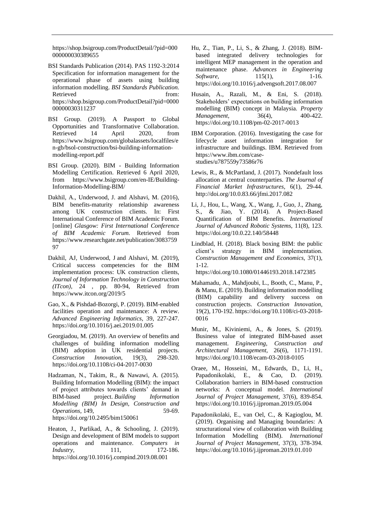https://shop.bsigroup.com/ProductDetail/?pid=000 000000030389655

- BSI Standards Publication (2014). PAS 1192-3:2014 Specification for information management for the operational phase of assets using building information modelling. *BSI Standards Publication.* Retrieved from: https://shop.bsigroup.com/ProductDetail?pid=0000 00000030311237
- BSI Group. (2019). A Passport to Global Opportunities and Transformative Collaboration. Retrieved 14 April 2020, from https://www.bsigroup.com/globalassets/localfiles/e n-gb/bsol-construction/bsi-building-informationmodelling-report.pdf
- BSI Group. (2020). BIM Building Information Modelling Certification. Retrieved 6 April 2020, from https://www.bsigroup.com/en-IE/Building-Information-Modelling-BIM/
- Dakhil, A., Underwood, J. and Alshavi, M. (2016), BIM benefits-maturity relationship awareness among UK construction clients. In: First International Conference of BIM Academic Forum. [online] *Glasgow: First International Conference of BIM Academic Forum.* Retrieved from https://www.researchgate.net/publication/3083759 97
- Dakhil, AJ, Underwood, J and Alshavi, M. (2019), Critical success competencies for the BIM implementation process: UK construction clients, *Journal of Information Technology in Construction (ITcon),* 24 , pp. 80-94, Retrieved from https://www.itcon.org/2019/5
- Gao, X., & Pishdad-Bozorgi, P. (2019). BIM-enabled facilities operation and maintenance: A review. *Advanced Engineering Informatics,* 39, 227-247. https://doi.org/10.1016/j.aei.2019.01.005
- Georgiadou, M. (2019). An overview of benefits and challenges of building information modelling (BIM) adoption in UK residential projects. *Construction Innovation,* 19(3), 298-320. https://doi.org/10.1108/ci-04-2017-0030
- Hadzaman, N., Takim, R., & Nawawi, A. (2015). Building Information Modelling (BIM): the impact of project attributes towards clients' demand in BIM-based project. *Building Information Modelling (BIM) In Design, Construction and Operations,* 149, 59-69. https://doi.org/10.2495/bim150061
- Heaton, J., Parlikad, A., & Schooling, J. (2019). Design and development of BIM models to support operations and maintenance. *Computers in Industry.* 111, 172-186. https://doi.org/10.1016/j.compind.2019.08.001
- Hu, Z., Tian, P., Li, S., & Zhang, J. (2018). BIMbased integrated delivery technologies for intelligent MEP management in the operation and maintenance phase. *Advances in Engineering Software*, 115(1), 1-16. https://doi.org/10.1016/j.advengsoft.2017.08.007
- Husain, A., Razali, M., & Eni, S. (2018). Stakeholders' expectations on building information modelling (BIM) concept in Malaysia. *Property Management,* 36(4), 400-422. https://doi.org/10.1108/pm-02-2017-0013
- IBM Corporation. (2016). Investigating the case for lifecycle asset information integration for infrastructure and buildings. IBM. Retrieved from https://www.ibm.com/casestudies/u787559y73586r76
- Lewis, R., & McPartland, J. (2017). Nondefault loss allocation at central counterparties. *The Journal of Financial Market Infrastructures,* 6(1), 29-44. http://doi.org/10.0.83.66/jfmi.2017.082
- Li, J., Hou, L., Wang, X., Wang, J., Guo, J., Zhang, S., & Jiao, Y. (2014). A Project-Based Quantification of BIM Benefits. *International Journal of Advanced Robotic Systems,* 11(8), 123. https://doi.org/10.0.22.140/58448
- Lindblad, H. (2018). Black boxing BIM: the public client's strategy in BIM implementation. *Construction Management and Economics,* 37(1), 1-12.
	- https://doi.org/10.1080/01446193.2018.1472385
- Mahamadu, A., Mahdjoubi, L., Booth, C., Manu, P., & Manu, E. (2019). Building information modelling (BIM) capability and delivery success on construction projects. *Construction Innovation,* 19(2), 170-192. https://doi.org/10.1108/ci-03-2018- 0016
- Munir, M., Kiviniemi, A., & Jones, S. (2019). Business value of integrated BIM-based asset management. *Engineering, Construction and Architectural Management,* 26(6), 1171-1191. https://doi.org/10.1108/ecam-03-2018-0105
- Oraee, M., Hosseini, M., Edwards, D., Li, H., Papadonikolaki, E., & Cao, D. (2019). Collaboration barriers in BIM-based construction networks: A conceptual model. *International Journal of Project Management,* 37(6), 839-854. https://doi.org/10.1016/j.ijproman.2019.05.004
- Papadonikolaki, E., van Oel, C., & Kagioglou, M. (2019). Organising and Managing boundaries: A structurational view of collaboration with Building Information Modelling (BIM). *International Journal of Project Management,* 37(3), 378-394. https://doi.org/10.1016/j.ijproman.2019.01.010